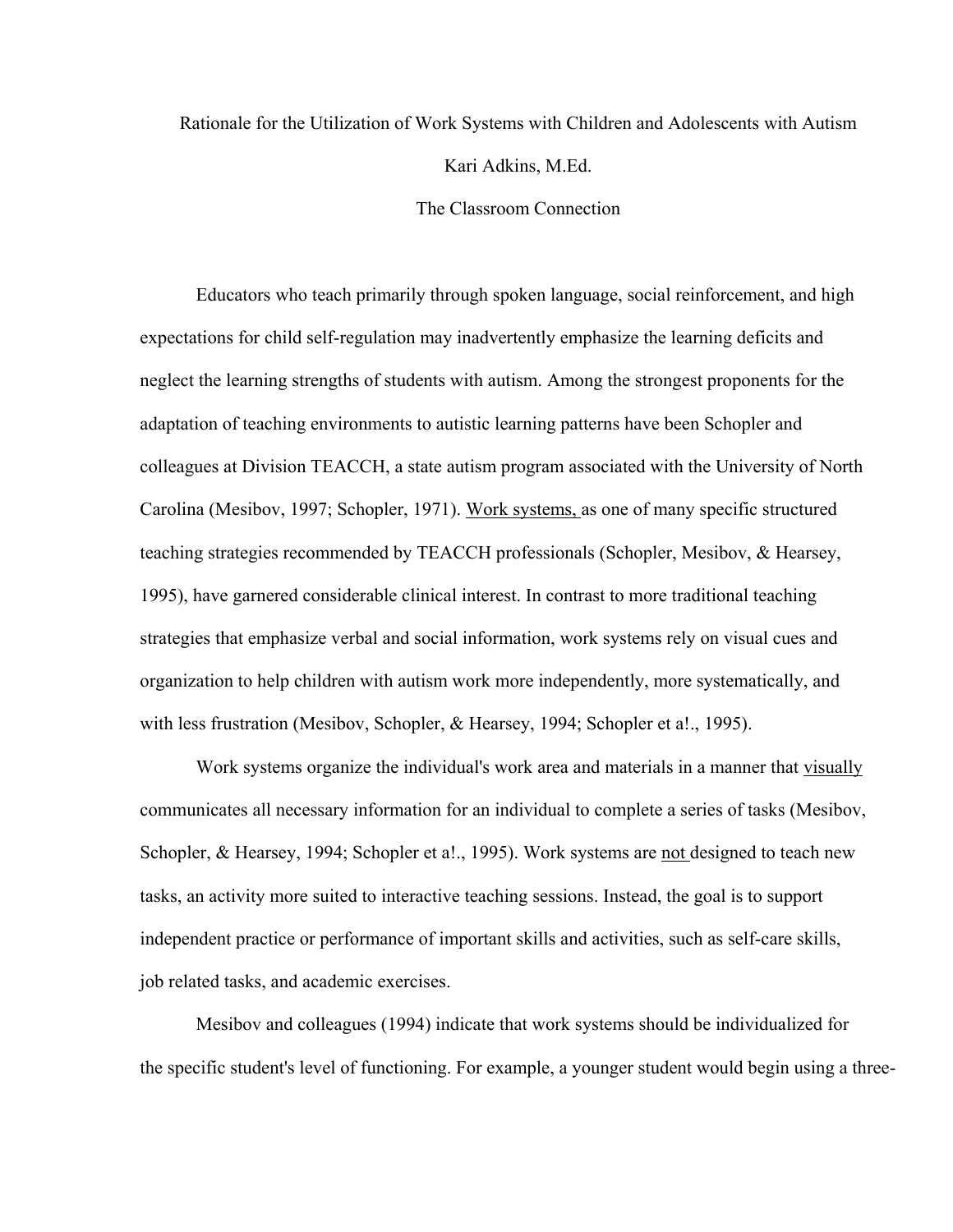## Rationale for the Utilization of Work Systems with Children and Adolescents with Autism Kari Adkins, M.Ed. The Classroom Connection

Educators who teach primarily through spoken language, social reinforcement, and high expectations for child self-regulation may inadvertently emphasize the learning deficits and neglect the learning strengths of students with autism. Among the strongest proponents for the adaptation of teaching environments to autistic learning patterns have been Schopler and colleagues at Division TEACCH, a state autism program associated with the University of North Carolina (Mesibov, 1997; Schopler, 1971). Work systems, as one of many specific structured teaching strategies recommended by TEACCH professionals (Schopler, Mesibov, & Hearsey, 1995), have garnered considerable clinical interest. In contrast to more traditional teaching strategies that emphasize verbal and social information, work systems rely on visual cues and organization to help children with autism work more independently, more systematically, and with less frustration (Mesibov, Schopler, & Hearsey, 1994; Schopler et a!., 1995).

Work systems organize the individual's work area and materials in a manner that visually communicates all necessary information for an individual to complete a series of tasks (Mesibov, Schopler, & Hearsey, 1994; Schopler et a!., 1995). Work systems are not designed to teach new tasks, an activity more suited to interactive teaching sessions. Instead, the goal is to support independent practice or performance of important skills and activities, such as self-care skills, job related tasks, and academic exercises.

Mesibov and colleagues (1994) indicate that work systems should be individualized for the specific student's level of functioning. For example, a younger student would begin using a three-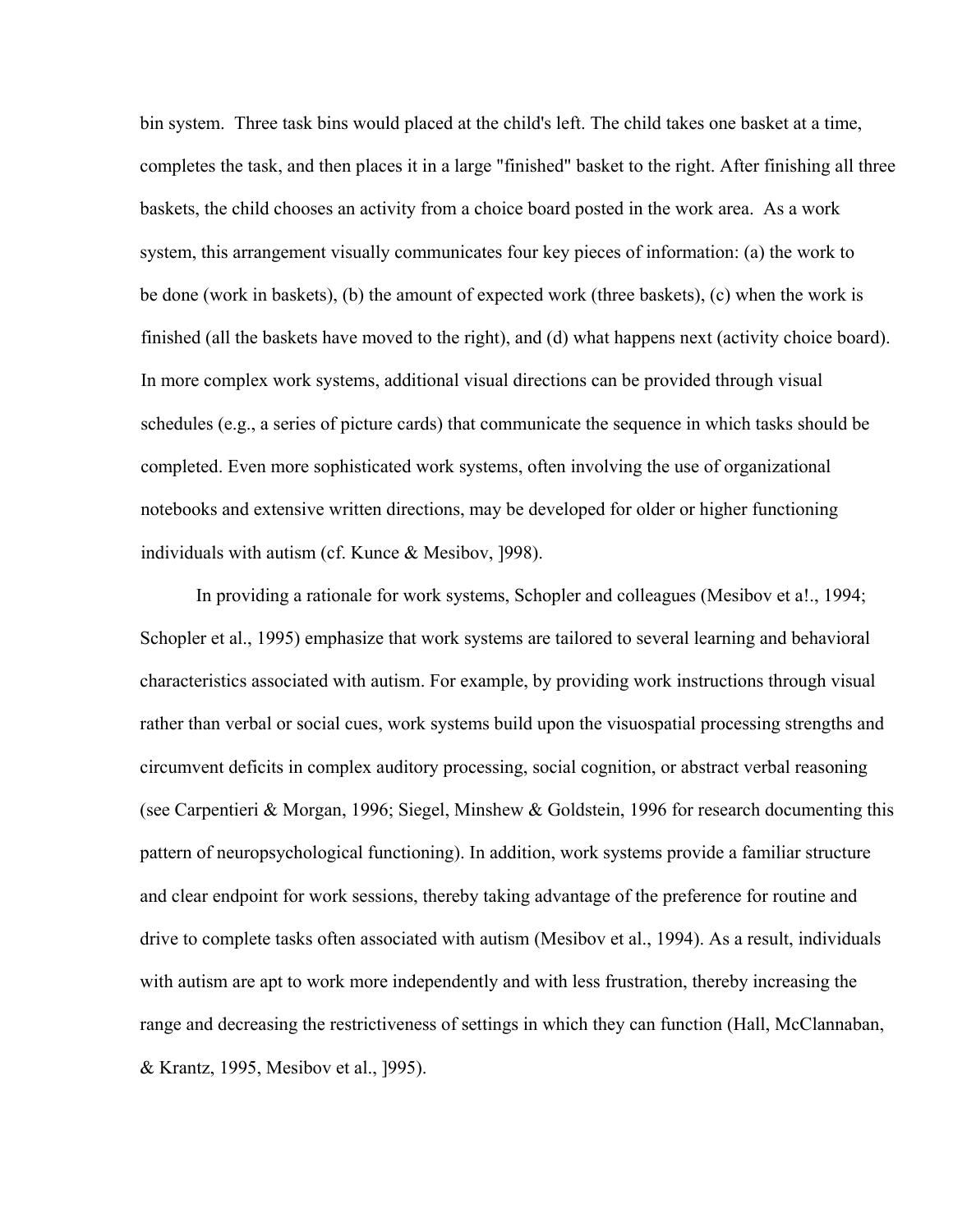bin system. Three task bins would placed at the child's left. The child takes one basket at a time, completes the task, and then places it in a large "finished" basket to the right. After finishing all three baskets, the child chooses an activity from a choice board posted in the work area. As a work system, this arrangement visually communicates four key pieces of information: (a) the work to be done (work in baskets), (b) the amount of expected work (three baskets), (c) when the work is finished (all the baskets have moved to the right), and (d) what happens next (activity choice board). In more complex work systems, additional visual directions can be provided through visual schedules (e.g., a series of picture cards) that communicate the sequence in which tasks should be completed. Even more sophisticated work systems, often involving the use of organizational notebooks and extensive written directions, may be developed for older or higher functioning individuals with autism (cf. Kunce & Mesibov, ]998).

In providing a rationale for work systems, Schopler and colleagues (Mesibov et a!., 1994; Schopler et al., 1995) emphasize that work systems are tailored to several learning and behavioral characteristics associated with autism. For example, by providing work instructions through visual rather than verbal or social cues, work systems build upon the visuospatial processing strengths and circumvent deficits in complex auditory processing, social cognition, or abstract verbal reasoning (see Carpentieri & Morgan, 1996; Siegel, Minshew & Goldstein, 1996 for research documenting this pattern of neuropsychological functioning). In addition, work systems provide a familiar structure and clear endpoint for work sessions, thereby taking advantage of the preference for routine and drive to complete tasks often associated with autism (Mesibov et al., 1994). As a result, individuals with autism are apt to work more independently and with less frustration, thereby increasing the range and decreasing the restrictiveness of settings in which they can function (Hall, McClannaban, & Krantz, 1995, Mesibov et al., ]995).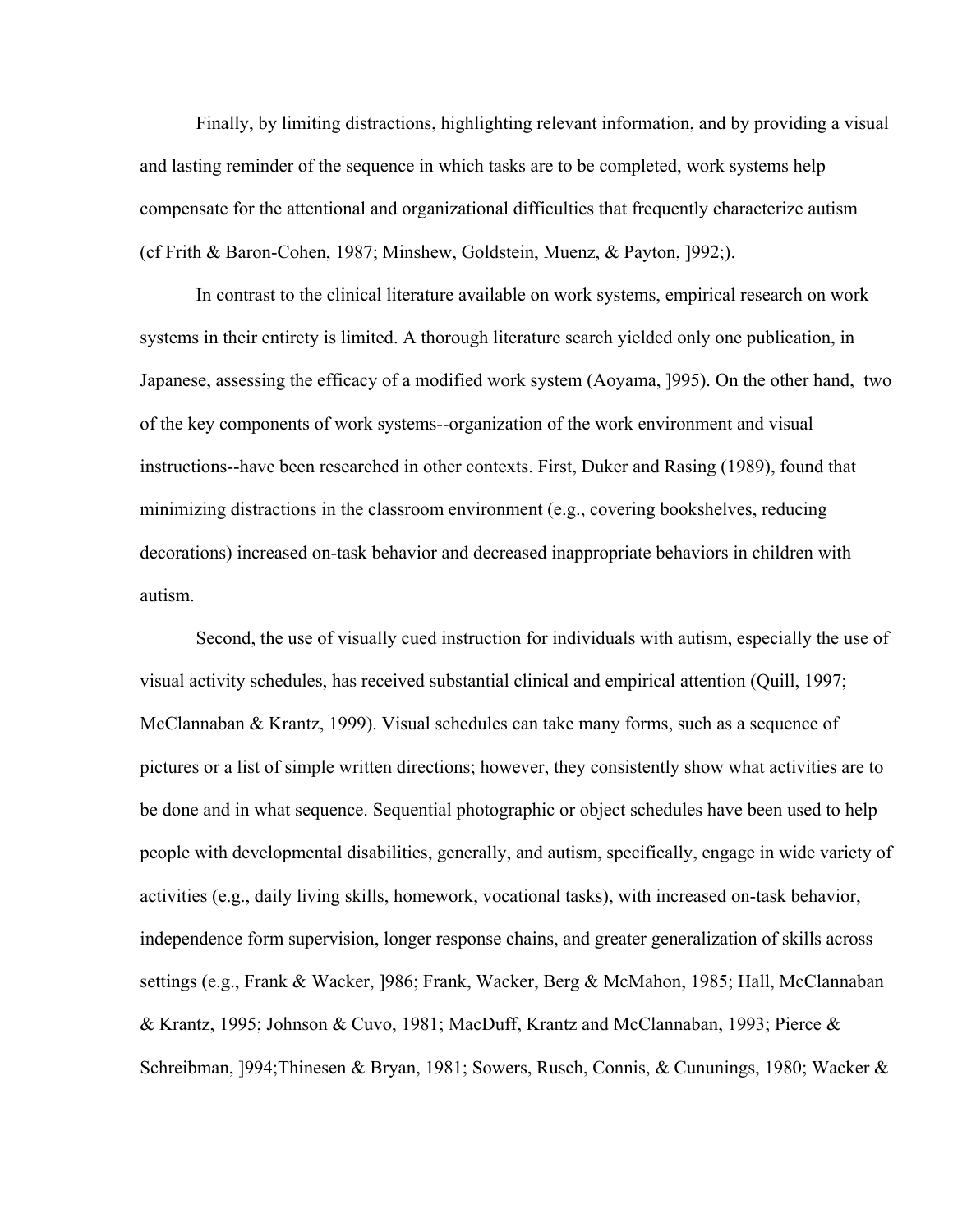Finally, by limiting distractions, highlighting relevant information, and by providing a visual and lasting reminder of the sequence in which tasks are to be completed, work systems help compensate for the attentional and organizational difficulties that frequently characterize autism (cf Frith & Baron-Cohen, 1987; Minshew, Goldstein, Muenz, & Payton, ]992;).

In contrast to the clinical literature available on work systems, empirical research on work systems in their entirety is limited. A thorough literature search yielded only one publication, in Japanese, assessing the efficacy of a modified work system (Aoyama, ]995). On the other hand, two of the key components of work systems--organization of the work environment and visual instructions--have been researched in other contexts. First, Duker and Rasing (1989), found that minimizing distractions in the classroom environment (e.g., covering bookshelves, reducing decorations) increased on-task behavior and decreased inappropriate behaviors in children with autism.

Second, the use of visually cued instruction for individuals with autism, especially the use of visual activity schedules, has received substantial clinical and empirical attention (Quill, 1997; McClannaban & Krantz, 1999). Visual schedules can take many forms, such as a sequence of pictures or a list of simple written directions; however, they consistently show what activities are to be done and in what sequence. Sequential photographic or object schedules have been used to help people with developmental disabilities, generally, and autism, specifically, engage in wide variety of activities (e.g., daily living skills, homework, vocational tasks), with increased on-task behavior, independence form supervision, longer response chains, and greater generalization of skills across settings (e.g., Frank & Wacker, ]986; Frank, Wacker, Berg & McMahon, 1985; Hall, McClannaban & Krantz, 1995; Johnson & Cuvo, 1981; MacDuff, Krantz and McClannaban, 1993; Pierce & Schreibman, ]994;Thinesen & Bryan, 1981; Sowers, Rusch, Connis, & Cununings, 1980; Wacker &